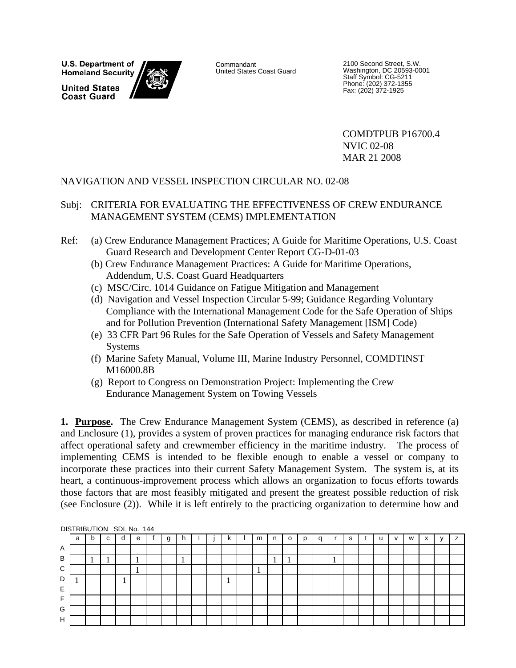U.S. Department of **Homeland Security** 

**United States Coast Guard** 



Commandant United States Coast Guard

2100 Second Street, S.W. Washington, DC 20593-0001 Staff Symbol: CG-5211 Phone: (202) 372-1355 Fax: (202) 372-1925

 COMDTPUB P16700.4 NVIC 02-08 MAR 21 2008

### NAVIGATION AND VESSEL INSPECTION CIRCULAR NO. 02-08

- Subj: CRITERIA FOR EVALUATING THE EFFECTIVENESS OF CREW ENDURANCE MANAGEMENT SYSTEM (CEMS) IMPLEMENTATION
- Ref: (a) Crew Endurance Management Practices; A Guide for Maritime Operations, U.S. Coast Guard Research and Development Center Report CG-D-01-03
	- (b) Crew Endurance Management Practices: A Guide for Maritime Operations, Addendum, U.S. Coast Guard Headquarters
	- (c) MSC/Circ. 1014 Guidance on Fatigue Mitigation and Management
	- (d) Navigation and Vessel Inspection Circular 5-99; Guidance Regarding Voluntary Compliance with the International Management Code for the Safe Operation of Ships and for Pollution Prevention (International Safety Management [ISM] Code)
	- (e) 33 CFR Part 96 Rules for the Safe Operation of Vessels and Safety Management Systems
	- (f) Marine Safety Manual, Volume III, Marine Industry Personnel, COMDTINST M16000.8B
	- (g) Report to Congress on Demonstration Project: Implementing the Crew Endurance Management System on Towing Vessels

**1. Purpose.** The Crew Endurance Management System (CEMS), as described in reference (a) and Enclosure (1), provides a system of proven practices for managing endurance risk factors that affect operational safety and crewmember efficiency in the maritime industry. The process of implementing CEMS is intended to be flexible enough to enable a vessel or company to incorporate these practices into their current Safety Management System. The system is, at its heart, a continuous-improvement process which allows an organization to focus efforts towards those factors that are most feasibly mitigated and present the greatest possible reduction of risk (see Enclosure (2)). While it is left entirely to the practicing organization to determine how and

|   |   |   |    |   | DISTRIBUTION SDL No. 144 |   |  |   |   |   |              |   |   |   |   |   |           |  |
|---|---|---|----|---|--------------------------|---|--|---|---|---|--------------|---|---|---|---|---|-----------|--|
|   | a | b | c  | d | е                        | g |  | κ | m | n | $\circ$      | q |   | s | u | W | $\hat{ }$ |  |
| Α |   |   |    |   |                          |   |  |   |   |   |              |   |   |   |   |   |           |  |
| B |   |   | л. |   | л                        |   |  |   |   |   | $\mathbf{r}$ |   | л |   |   |   |           |  |
| C |   |   |    |   | л                        |   |  |   |   |   |              |   |   |   |   |   |           |  |
| D |   |   |    |   |                          |   |  |   |   |   |              |   |   |   |   |   |           |  |
| E |   |   |    |   |                          |   |  |   |   |   |              |   |   |   |   |   |           |  |
| F |   |   |    |   |                          |   |  |   |   |   |              |   |   |   |   |   |           |  |
| G |   |   |    |   |                          |   |  |   |   |   |              |   |   |   |   |   |           |  |
| H |   |   |    |   |                          |   |  |   |   |   |              |   |   |   |   |   |           |  |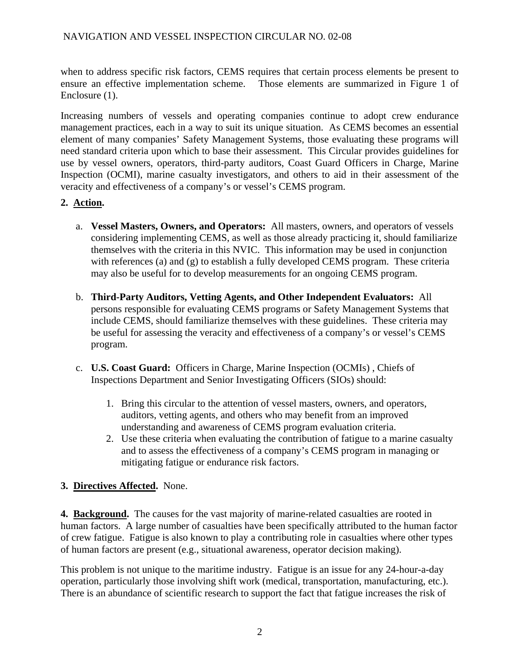when to address specific risk factors, CEMS requires that certain process elements be present to ensure an effective implementation scheme. Those elements are summarized in Figure 1 of Enclosure (1).

Increasing numbers of vessels and operating companies continue to adopt crew endurance management practices, each in a way to suit its unique situation. As CEMS becomes an essential element of many companies' Safety Management Systems, those evaluating these programs will need standard criteria upon which to base their assessment. This Circular provides guidelines for use by vessel owners, operators, third-party auditors, Coast Guard Officers in Charge, Marine Inspection (OCMI), marine casualty investigators, and others to aid in their assessment of the veracity and effectiveness of a company's or vessel's CEMS program.

### **2. Action.**

- a. **Vessel Masters, Owners, and Operators:** All masters, owners, and operators of vessels considering implementing CEMS, as well as those already practicing it, should familiarize themselves with the criteria in this NVIC. This information may be used in conjunction with references (a) and (g) to establish a fully developed CEMS program. These criteria may also be useful for to develop measurements for an ongoing CEMS program.
- b. **Third-Party Auditors, Vetting Agents, and Other Independent Evaluators:** All persons responsible for evaluating CEMS programs or Safety Management Systems that include CEMS, should familiarize themselves with these guidelines. These criteria may be useful for assessing the veracity and effectiveness of a company's or vessel's CEMS program.
- c. **U.S. Coast Guard:** Officers in Charge, Marine Inspection (OCMIs) , Chiefs of Inspections Department and Senior Investigating Officers (SIOs) should:
	- 1. Bring this circular to the attention of vessel masters, owners, and operators, auditors, vetting agents, and others who may benefit from an improved understanding and awareness of CEMS program evaluation criteria.
	- 2. Use these criteria when evaluating the contribution of fatigue to a marine casualty and to assess the effectiveness of a company's CEMS program in managing or mitigating fatigue or endurance risk factors.

### **3. Directives Affected.** None.

**4. Background.** The causes for the vast majority of marine-related casualties are rooted in human factors. A large number of casualties have been specifically attributed to the human factor of crew fatigue. Fatigue is also known to play a contributing role in casualties where other types of human factors are present (e.g., situational awareness, operator decision making).

This problem is not unique to the maritime industry. Fatigue is an issue for any 24-hour-a-day operation, particularly those involving shift work (medical, transportation, manufacturing, etc.). There is an abundance of scientific research to support the fact that fatigue increases the risk of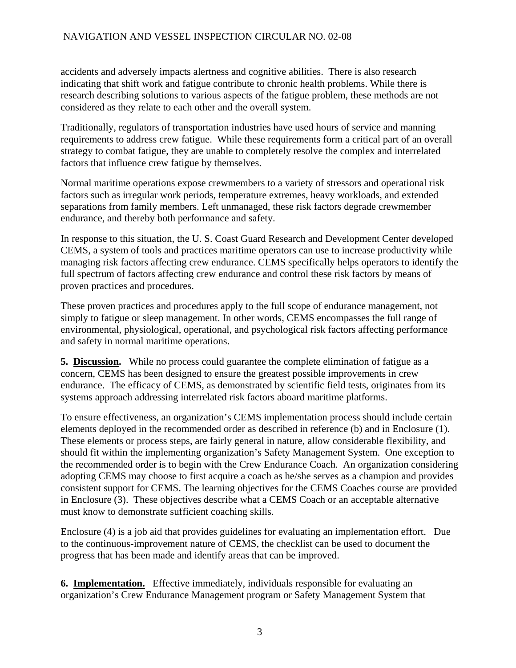accidents and adversely impacts alertness and cognitive abilities. There is also research indicating that shift work and fatigue contribute to chronic health problems. While there is research describing solutions to various aspects of the fatigue problem, these methods are not considered as they relate to each other and the overall system.

Traditionally, regulators of transportation industries have used hours of service and manning requirements to address crew fatigue. While these requirements form a critical part of an overall strategy to combat fatigue, they are unable to completely resolve the complex and interrelated factors that influence crew fatigue by themselves.

Normal maritime operations expose crewmembers to a variety of stressors and operational risk factors such as irregular work periods, temperature extremes, heavy workloads, and extended separations from family members. Left unmanaged, these risk factors degrade crewmember endurance, and thereby both performance and safety.

In response to this situation, the U. S. Coast Guard Research and Development Center developed CEMS, a system of tools and practices maritime operators can use to increase productivity while managing risk factors affecting crew endurance. CEMS specifically helps operators to identify the full spectrum of factors affecting crew endurance and control these risk factors by means of proven practices and procedures.

These proven practices and procedures apply to the full scope of endurance management, not simply to fatigue or sleep management. In other words, CEMS encompasses the full range of environmental, physiological, operational, and psychological risk factors affecting performance and safety in normal maritime operations.

**5. Discussion.** While no process could guarantee the complete elimination of fatigue as a concern, CEMS has been designed to ensure the greatest possible improvements in crew endurance. The efficacy of CEMS, as demonstrated by scientific field tests, originates from its systems approach addressing interrelated risk factors aboard maritime platforms.

To ensure effectiveness, an organization's CEMS implementation process should include certain elements deployed in the recommended order as described in reference (b) and in Enclosure (1). These elements or process steps, are fairly general in nature, allow considerable flexibility, and should fit within the implementing organization's Safety Management System. One exception to the recommended order is to begin with the Crew Endurance Coach. An organization considering adopting CEMS may choose to first acquire a coach as he/she serves as a champion and provides consistent support for CEMS. The learning objectives for the CEMS Coaches course are provided in Enclosure (3). These objectives describe what a CEMS Coach or an acceptable alternative must know to demonstrate sufficient coaching skills.

Enclosure (4) is a job aid that provides guidelines for evaluating an implementation effort. Due to the continuous-improvement nature of CEMS, the checklist can be used to document the progress that has been made and identify areas that can be improved.

**6. Implementation.** Effective immediately, individuals responsible for evaluating an organization's Crew Endurance Management program or Safety Management System that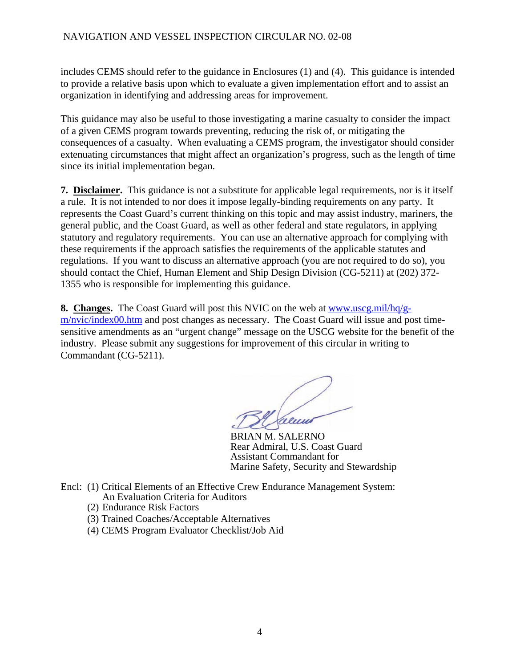includes CEMS should refer to the guidance in Enclosures (1) and (4). This guidance is intended to provide a relative basis upon which to evaluate a given implementation effort and to assist an organization in identifying and addressing areas for improvement.

This guidance may also be useful to those investigating a marine casualty to consider the impact of a given CEMS program towards preventing, reducing the risk of, or mitigating the consequences of a casualty. When evaluating a CEMS program, the investigator should consider extenuating circumstances that might affect an organization's progress, such as the length of time since its initial implementation began.

**7. Disclaimer.** This guidance is not a substitute for applicable legal requirements, nor is it itself a rule. It is not intended to nor does it impose legally-binding requirements on any party. It represents the Coast Guard's current thinking on this topic and may assist industry, mariners, the general public, and the Coast Guard, as well as other federal and state regulators, in applying statutory and regulatory requirements. You can use an alternative approach for complying with these requirements if the approach satisfies the requirements of the applicable statutes and regulations. If you want to discuss an alternative approach (you are not required to do so), you should contact the Chief, Human Element and Ship Design Division (CG-5211) at (202) 372- 1355 who is responsible for implementing this guidance.

**8. Changes.** The Coast Guard will post this NVIC on the web at [www.uscg.mil/hq/g](http://www.uscg.mil/hq/g-m/nvic/index00.htm)[m/nvic/index00.htm](http://www.uscg.mil/hq/g-m/nvic/index00.htm) and post changes as necessary. The Coast Guard will issue and post timesensitive amendments as an "urgent change" message on the USCG website for the benefit of the industry. Please submit any suggestions for improvement of this circular in writing to Commandant (CG-5211).

 BRIAN M. SALERNO Rear Admiral, U.S. Coast Guard Assistant Commandant for Marine Safety, Security and Stewardship

- Encl: (1) Critical Elements of an Effective Crew Endurance Management System: An Evaluation Criteria for Auditors
	- (2) Endurance Risk Factors
	- (3) Trained Coaches/Acceptable Alternatives
	- (4) CEMS Program Evaluator Checklist/Job Aid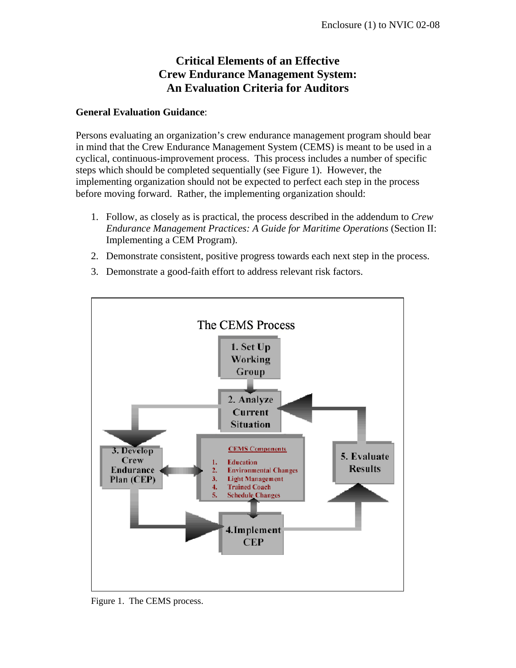#### **General Evaluation Guidance**:

Persons evaluating an organization's crew endurance management program should bear in mind that the Crew Endurance Management System (CEMS) is meant to be used in a cyclical, continuous-improvement process. This process includes a number of specific steps which should be completed sequentially (see Figure 1). However, the implementing organization should not be expected to perfect each step in the process before moving forward. Rather, the implementing organization should:

- 1. Follow, as closely as is practical, the process described in the addendum to *Crew Endurance Management Practices: A Guide for Maritime Operations* (Section II: Implementing a CEM Program).
- 2. Demonstrate consistent, positive progress towards each next step in the process.
- 3. Demonstrate a good-faith effort to address relevant risk factors.



Figure 1. The CEMS process.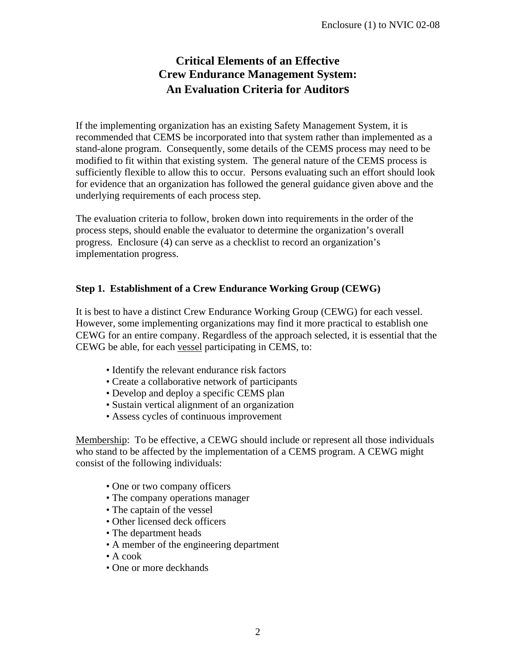If the implementing organization has an existing Safety Management System, it is recommended that CEMS be incorporated into that system rather than implemented as a stand-alone program. Consequently, some details of the CEMS process may need to be modified to fit within that existing system. The general nature of the CEMS process is sufficiently flexible to allow this to occur. Persons evaluating such an effort should look for evidence that an organization has followed the general guidance given above and the underlying requirements of each process step.

The evaluation criteria to follow, broken down into requirements in the order of the process steps, should enable the evaluator to determine the organization's overall progress. Enclosure (4) can serve as a checklist to record an organization's implementation progress.

### **Step 1. Establishment of a Crew Endurance Working Group (CEWG)**

It is best to have a distinct Crew Endurance Working Group (CEWG) for each vessel. However, some implementing organizations may find it more practical to establish one CEWG for an entire company. Regardless of the approach selected, it is essential that the CEWG be able, for each vessel participating in CEMS, to:

- Identify the relevant endurance risk factors
- Create a collaborative network of participants
- Develop and deploy a specific CEMS plan
- Sustain vertical alignment of an organization
- Assess cycles of continuous improvement

Membership: To be effective, a CEWG should include or represent all those individuals who stand to be affected by the implementation of a CEMS program. A CEWG might consist of the following individuals:

- One or two company officers
- The company operations manager
- The captain of the vessel
- Other licensed deck officers
- The department heads
- A member of the engineering department
- A cook
- One or more deckhands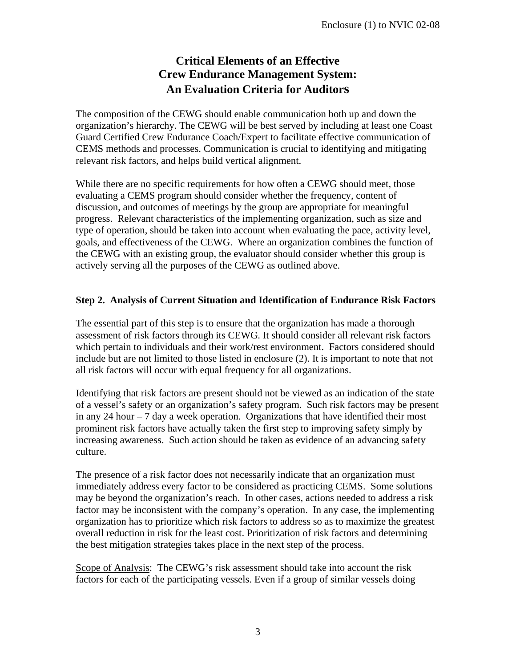The composition of the CEWG should enable communication both up and down the organization's hierarchy. The CEWG will be best served by including at least one Coast Guard Certified Crew Endurance Coach/Expert to facilitate effective communication of CEMS methods and processes. Communication is crucial to identifying and mitigating relevant risk factors, and helps build vertical alignment.

While there are no specific requirements for how often a CEWG should meet, those evaluating a CEMS program should consider whether the frequency, content of discussion, and outcomes of meetings by the group are appropriate for meaningful progress. Relevant characteristics of the implementing organization, such as size and type of operation, should be taken into account when evaluating the pace, activity level, goals, and effectiveness of the CEWG. Where an organization combines the function of the CEWG with an existing group, the evaluator should consider whether this group is actively serving all the purposes of the CEWG as outlined above.

### **Step 2. Analysis of Current Situation and Identification of Endurance Risk Factors**

The essential part of this step is to ensure that the organization has made a thorough assessment of risk factors through its CEWG. It should consider all relevant risk factors which pertain to individuals and their work/rest environment. Factors considered should include but are not limited to those listed in enclosure (2). It is important to note that not all risk factors will occur with equal frequency for all organizations.

Identifying that risk factors are present should not be viewed as an indication of the state of a vessel's safety or an organization's safety program. Such risk factors may be present in any 24 hour  $-7$  day a week operation. Organizations that have identified their most prominent risk factors have actually taken the first step to improving safety simply by increasing awareness. Such action should be taken as evidence of an advancing safety culture.

The presence of a risk factor does not necessarily indicate that an organization must immediately address every factor to be considered as practicing CEMS. Some solutions may be beyond the organization's reach. In other cases, actions needed to address a risk factor may be inconsistent with the company's operation. In any case, the implementing organization has to prioritize which risk factors to address so as to maximize the greatest overall reduction in risk for the least cost. Prioritization of risk factors and determining the best mitigation strategies takes place in the next step of the process.

Scope of Analysis: The CEWG's risk assessment should take into account the risk factors for each of the participating vessels. Even if a group of similar vessels doing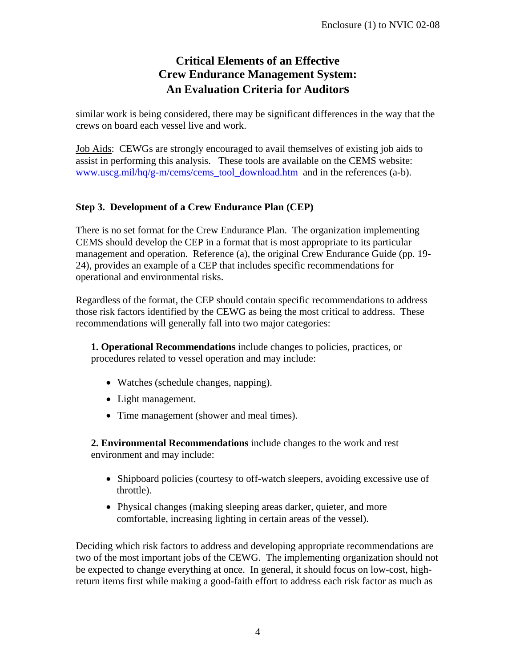similar work is being considered, there may be significant differences in the way that the crews on board each vessel live and work.

Job Aids: CEWGs are strongly encouraged to avail themselves of existing job aids to assist in performing this analysis. These tools are available on the CEMS website: [www.uscg.mil/hq/g-m/cems/cems\\_tool\\_download.htm](http://www.uscg.mil/hq/g-m/cems/cems_tool_download.htm) and in the references (a-b).

### **Step 3. Development of a Crew Endurance Plan (CEP)**

There is no set format for the Crew Endurance Plan. The organization implementing CEMS should develop the CEP in a format that is most appropriate to its particular management and operation. Reference (a), the original Crew Endurance Guide (pp. 19- 24), provides an example of a CEP that includes specific recommendations for operational and environmental risks.

Regardless of the format, the CEP should contain specific recommendations to address those risk factors identified by the CEWG as being the most critical to address. These recommendations will generally fall into two major categories:

**1. Operational Recommendations** include changes to policies, practices, or procedures related to vessel operation and may include:

- Watches (schedule changes, napping).
- Light management.
- Time management (shower and meal times).

**2. Environmental Recommendations** include changes to the work and rest environment and may include:

- Shipboard policies (courtesy to off-watch sleepers, avoiding excessive use of throttle).
- Physical changes (making sleeping areas darker, quieter, and more comfortable, increasing lighting in certain areas of the vessel).

Deciding which risk factors to address and developing appropriate recommendations are two of the most important jobs of the CEWG. The implementing organization should not be expected to change everything at once. In general, it should focus on low-cost, highreturn items first while making a good-faith effort to address each risk factor as much as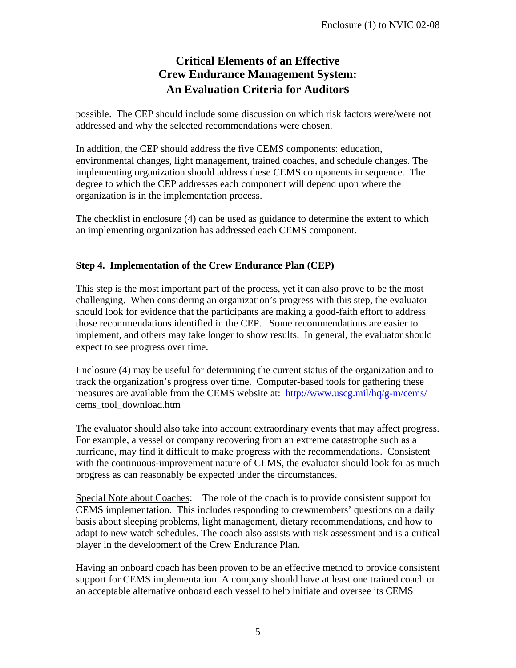possible. The CEP should include some discussion on which risk factors were/were not addressed and why the selected recommendations were chosen.

In addition, the CEP should address the five CEMS components: education, environmental changes, light management, trained coaches, and schedule changes. The implementing organization should address these CEMS components in sequence. The degree to which the CEP addresses each component will depend upon where the organization is in the implementation process.

The checklist in enclosure (4) can be used as guidance to determine the extent to which an implementing organization has addressed each CEMS component.

### **Step 4. Implementation of the Crew Endurance Plan (CEP)**

This step is the most important part of the process, yet it can also prove to be the most challenging. When considering an organization's progress with this step, the evaluator should look for evidence that the participants are making a good-faith effort to address those recommendations identified in the CEP. Some recommendations are easier to implement, and others may take longer to show results. In general, the evaluator should expect to see progress over time.

Enclosure (4) may be useful for determining the current status of the organization and to track the organization's progress over time. Computer-based tools for gathering these measures are available from the CEMS website at: <http://www.uscg.mil/hq/g-m/cems/> cems\_tool\_download.htm

The evaluator should also take into account extraordinary events that may affect progress. For example, a vessel or company recovering from an extreme catastrophe such as a hurricane, may find it difficult to make progress with the recommendations. Consistent with the continuous-improvement nature of CEMS, the evaluator should look for as much progress as can reasonably be expected under the circumstances.

Special Note about Coaches: The role of the coach is to provide consistent support for CEMS implementation. This includes responding to crewmembers' questions on a daily basis about sleeping problems, light management, dietary recommendations, and how to adapt to new watch schedules. The coach also assists with risk assessment and is a critical player in the development of the Crew Endurance Plan.

Having an onboard coach has been proven to be an effective method to provide consistent support for CEMS implementation. A company should have at least one trained coach or an acceptable alternative onboard each vessel to help initiate and oversee its CEMS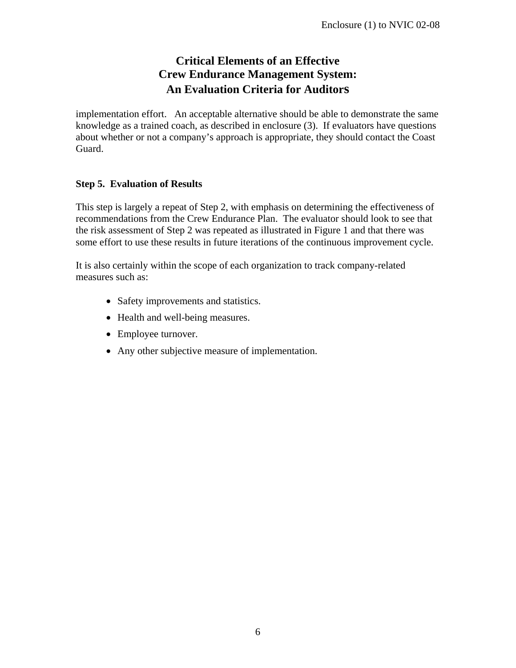implementation effort. An acceptable alternative should be able to demonstrate the same knowledge as a trained coach, as described in enclosure (3). If evaluators have questions about whether or not a company's approach is appropriate, they should contact the Coast Guard.

### **Step 5. Evaluation of Results**

This step is largely a repeat of Step 2, with emphasis on determining the effectiveness of recommendations from the Crew Endurance Plan. The evaluator should look to see that the risk assessment of Step 2 was repeated as illustrated in Figure 1 and that there was some effort to use these results in future iterations of the continuous improvement cycle.

It is also certainly within the scope of each organization to track company-related measures such as:

- Safety improvements and statistics.
- Health and well-being measures.
- Employee turnover.
- Any other subjective measure of implementation.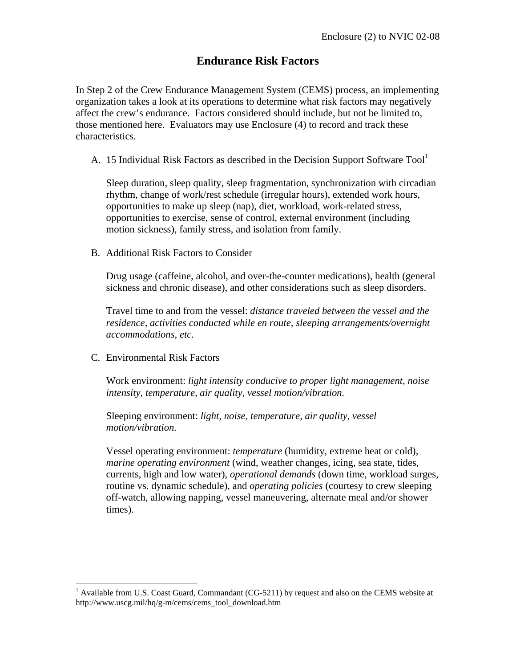### **Endurance Risk Factors**

In Step 2 of the Crew Endurance Management System (CEMS) process, an implementing organization takes a look at its operations to determine what risk factors may negatively affect the crew's endurance. Factors considered should include, but not be limited to, those mentioned here. Evaluators may use Enclosure (4) to record and track these characteristics.

A. 15 Individual Risk Factors as described in the Decision Support Software  $Tool<sup>1</sup>$ 

Sleep duration, sleep quality, sleep fragmentation, synchronization with circadian rhythm, change of work/rest schedule (irregular hours), extended work hours, opportunities to make up sleep (nap), diet, workload, work-related stress, opportunities to exercise, sense of control, external environment (including motion sickness), family stress, and isolation from family.

B. Additional Risk Factors to Consider

Drug usage (caffeine, alcohol, and over-the-counter medications), health (general sickness and chronic disease), and other considerations such as sleep disorders.

Travel time to and from the vessel: *distance traveled between the vessel and the residence, activities conducted while en route, sleeping arrangements/overnight accommodations, etc.* 

C. Environmental Risk Factors

1

Work environment: *light intensity conducive to proper light management, noise intensity, temperature, air quality, vessel motion/vibration.* 

Sleeping environment: *light, noise, temperature, air quality, vessel motion/vibration.* 

Vessel operating environment: *temperature* (humidity, extreme heat or cold), *marine operating environment* (wind, weather changes, icing, sea state, tides, currents, high and low water), *operational demands* (down time, workload surges, routine vs. dynamic schedule), and *operating policies* (courtesy to crew sleeping off-watch, allowing napping, vessel maneuvering, alternate meal and/or shower times).

<sup>&</sup>lt;sup>1</sup> Available from U.S. Coast Guard, Commandant (CG-5211) by request and also on the CEMS website at http://www.uscg.mil/hq/g-m/cems/cems\_tool\_download.htm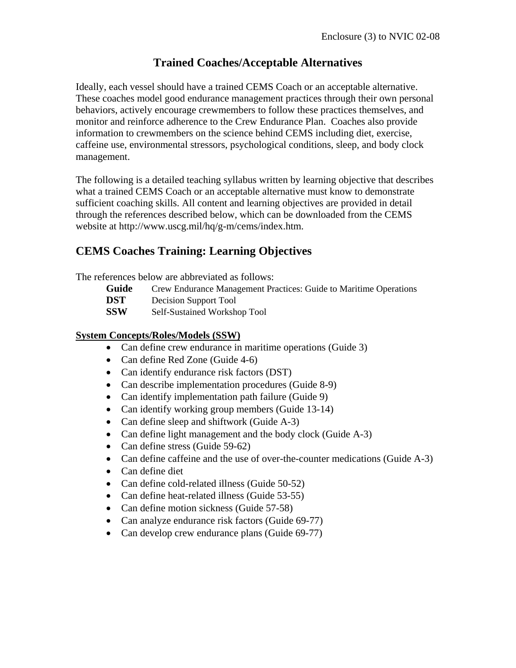### **Trained Coaches/Acceptable Alternatives**

Ideally, each vessel should have a trained CEMS Coach or an acceptable alternative. These coaches model good endurance management practices through their own personal behaviors, actively encourage crewmembers to follow these practices themselves, and monitor and reinforce adherence to the Crew Endurance Plan. Coaches also provide information to crewmembers on the science behind CEMS including diet, exercise, caffeine use, environmental stressors, psychological conditions, sleep, and body clock management.

The following is a detailed teaching syllabus written by learning objective that describes what a trained CEMS Coach or an acceptable alternative must know to demonstrate sufficient coaching skills. All content and learning objectives are provided in detail through the references described below, which can be downloaded from the CEMS website at http://www.uscg.mil/hq/g-m/cems/index.htm.

### **CEMS Coaches Training: Learning Objectives**

The references below are abbreviated as follows:

- **Guide** Crew Endurance Management Practices: Guide to Maritime Operations
- **DST** Decision Support Tool
- **SSW** Self-Sustained Workshop Tool

#### **System Concepts/Roles/Models (SSW)**

- Can define crew endurance in maritime operations (Guide 3)
- Can define Red Zone (Guide 4-6)
- Can identify endurance risk factors (DST)
- Can describe implementation procedures (Guide 8-9)
- Can identify implementation path failure (Guide 9)
- Can identify working group members (Guide 13-14)
- Can define sleep and shiftwork (Guide A-3)
- Can define light management and the body clock (Guide A-3)
- Can define stress (Guide 59-62)
- Can define caffeine and the use of over-the-counter medications (Guide A-3)
- Can define diet
- Can define cold-related illness (Guide 50-52)
- Can define heat-related illness (Guide 53-55)
- Can define motion sickness (Guide 57-58)
- Can analyze endurance risk factors (Guide 69-77)
- Can develop crew endurance plans (Guide 69-77)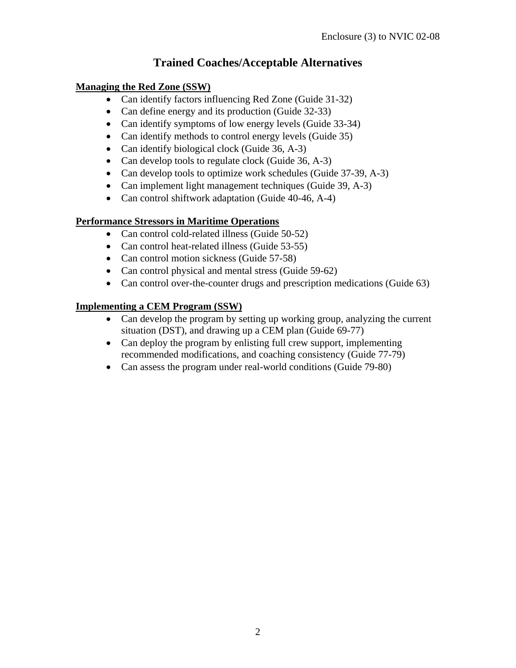## **Trained Coaches/Acceptable Alternatives**

### **Managing the Red Zone (SSW)**

- Can identify factors influencing Red Zone (Guide 31-32)
- Can define energy and its production (Guide 32-33)
- Can identify symptoms of low energy levels (Guide 33-34)
- Can identify methods to control energy levels (Guide 35)
- Can identify biological clock (Guide 36, A-3)
- Can develop tools to regulate clock (Guide 36, A-3)
- Can develop tools to optimize work schedules (Guide 37-39, A-3)
- Can implement light management techniques (Guide 39, A-3)
- Can control shiftwork adaptation (Guide 40-46, A-4)

### **Performance Stressors in Maritime Operations**

- Can control cold-related illness (Guide 50-52)
- Can control heat-related illness (Guide 53-55)
- Can control motion sickness (Guide 57-58)
- Can control physical and mental stress (Guide 59-62)
- Can control over-the-counter drugs and prescription medications (Guide 63)

### **Implementing a CEM Program (SSW)**

- Can develop the program by setting up working group, analyzing the current situation (DST), and drawing up a CEM plan (Guide 69-77)
- Can deploy the program by enlisting full crew support, implementing recommended modifications, and coaching consistency (Guide 77-79)
- Can assess the program under real-world conditions (Guide 79-80)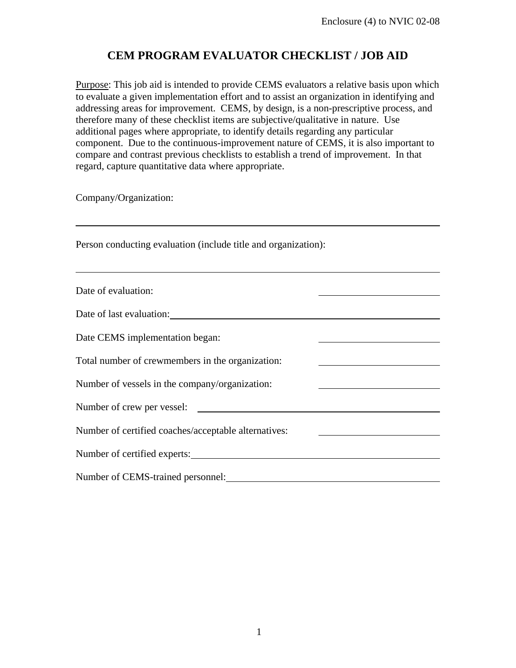Purpose: This job aid is intended to provide CEMS evaluators a relative basis upon which to evaluate a given implementation effort and to assist an organization in identifying and addressing areas for improvement. CEMS, by design, is a non-prescriptive process, and therefore many of these checklist items are subjective/qualitative in nature. Use additional pages where appropriate, to identify details regarding any particular component. Due to the continuous-improvement nature of CEMS, it is also important to compare and contrast previous checklists to establish a trend of improvement. In that regard, capture quantitative data where appropriate.

Company/Organization:

 $\overline{a}$ 

 $\overline{a}$ 

Person conducting evaluation (include title and organization):

| Date of evaluation:                                  |  |
|------------------------------------------------------|--|
| Date of last evaluation:                             |  |
| Date CEMS implementation began:                      |  |
| Total number of crewmembers in the organization:     |  |
| Number of vessels in the company/organization:       |  |
| Number of crew per vessel:                           |  |
| Number of certified coaches/acceptable alternatives: |  |
| Number of certified experts:                         |  |
| Number of CEMS-trained personnel:                    |  |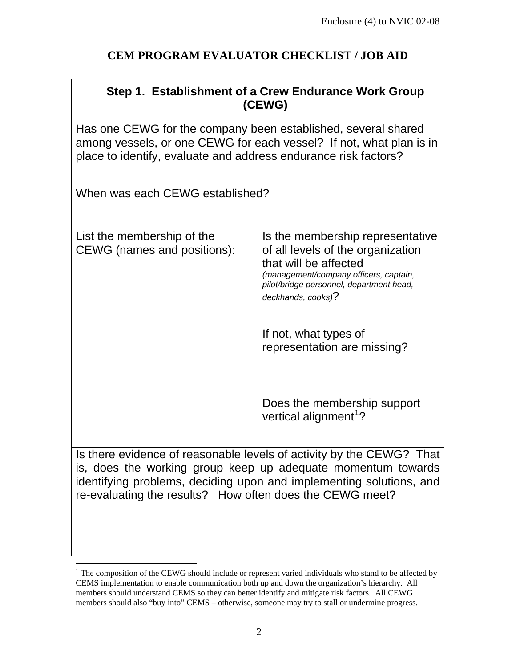$\mathbf{I}$ 

|                                                                                                                                                                                                                                                                         | Step 1. Establishment of a Crew Endurance Work Group<br>(CEWG)                                                                                                                                             |  |  |  |  |  |  |
|-------------------------------------------------------------------------------------------------------------------------------------------------------------------------------------------------------------------------------------------------------------------------|------------------------------------------------------------------------------------------------------------------------------------------------------------------------------------------------------------|--|--|--|--|--|--|
| Has one CEWG for the company been established, several shared<br>among vessels, or one CEWG for each vessel? If not, what plan is in<br>place to identify, evaluate and address endurance risk factors?                                                                 |                                                                                                                                                                                                            |  |  |  |  |  |  |
| When was each CEWG established?                                                                                                                                                                                                                                         |                                                                                                                                                                                                            |  |  |  |  |  |  |
| List the membership of the<br>CEWG (names and positions):                                                                                                                                                                                                               | Is the membership representative<br>of all levels of the organization<br>that will be affected<br>(management/company officers, captain,<br>pilot/bridge personnel, department head,<br>deckhands, cooks)? |  |  |  |  |  |  |
|                                                                                                                                                                                                                                                                         | If not, what types of<br>representation are missing?                                                                                                                                                       |  |  |  |  |  |  |
|                                                                                                                                                                                                                                                                         | Does the membership support<br>vertical alignment <sup>1</sup> ?                                                                                                                                           |  |  |  |  |  |  |
| Is there evidence of reasonable levels of activity by the CEWG? That<br>is, does the working group keep up adequate momentum towards<br>identifying problems, deciding upon and implementing solutions, and<br>re-evaluating the results? How often does the CEWG meet? |                                                                                                                                                                                                            |  |  |  |  |  |  |

<span id="page-14-0"></span><sup>&</sup>lt;sup>1</sup> The composition of the CEWG should include or represent varied individuals who stand to be affected by CEMS implementation to enable communication both up and down the organization's hierarchy. All members should understand CEMS so they can better identify and mitigate risk factors. All CEWG members should also "buy into" CEMS – otherwise, someone may try to stall or undermine progress.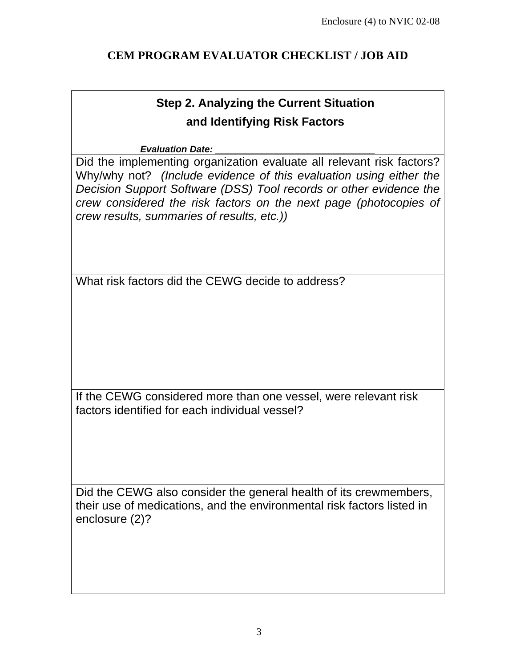# **Step 2. Analyzing the Current Situation and Identifying Risk Factors**

### *Evaluation Date: \_\_\_\_\_\_\_\_\_\_\_\_\_\_\_\_\_\_\_\_\_\_\_\_\_\_\_\_\_\_\_*

Did the implementing organization evaluate all relevant risk factors? Why/why not? *(Include evidence of this evaluation using either the Decision Support Software (DSS) Tool records or other evidence the crew considered the risk factors on the next page (photocopies of crew results, summaries of results, etc.))*

What risk factors did the CEWG decide to address?

If the CEWG considered more than one vessel, were relevant risk factors identified for each individual vessel?

Did the CEWG also consider the general health of its crewmembers, their use of medications, and the environmental risk factors listed in enclosure (2)?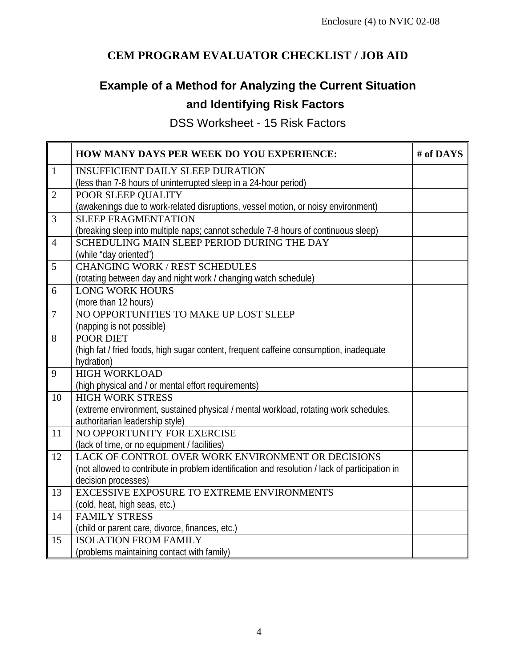# **Example of a Method for Analyzing the Current Situation and Identifying Risk Factors**

DSS Worksheet - 15 Risk Factors

|                 | HOW MANY DAYS PER WEEK DO YOU EXPERIENCE:                                                      | # of DAYS |
|-----------------|------------------------------------------------------------------------------------------------|-----------|
| $\mathbf{1}$    | <b>INSUFFICIENT DAILY SLEEP DURATION</b>                                                       |           |
|                 | (less than 7-8 hours of uninterrupted sleep in a 24-hour period)                               |           |
| $\overline{2}$  | POOR SLEEP QUALITY                                                                             |           |
|                 | (awakenings due to work-related disruptions, vessel motion, or noisy environment)              |           |
| 3               | <b>SLEEP FRAGMENTATION</b>                                                                     |           |
|                 | (breaking sleep into multiple naps; cannot schedule 7-8 hours of continuous sleep)             |           |
| $\overline{4}$  | SCHEDULING MAIN SLEEP PERIOD DURING THE DAY                                                    |           |
|                 | (while "day oriented")                                                                         |           |
| 5               | <b>CHANGING WORK / REST SCHEDULES</b>                                                          |           |
|                 | (rotating between day and night work / changing watch schedule)                                |           |
| 6               | <b>LONG WORK HOURS</b>                                                                         |           |
|                 | (more than 12 hours)                                                                           |           |
| $\overline{7}$  | NO OPPORTUNITIES TO MAKE UP LOST SLEEP                                                         |           |
|                 | (napping is not possible)                                                                      |           |
| 8               | POOR DIET                                                                                      |           |
|                 | (high fat / fried foods, high sugar content, frequent caffeine consumption, inadequate         |           |
|                 | hydration)                                                                                     |           |
| $\overline{9}$  | <b>HIGH WORKLOAD</b>                                                                           |           |
|                 | (high physical and / or mental effort requirements)                                            |           |
| 10              | <b>HIGH WORK STRESS</b>                                                                        |           |
|                 | (extreme environment, sustained physical / mental workload, rotating work schedules,           |           |
|                 | authoritarian leadership style)                                                                |           |
| $\overline{11}$ | NO OPPORTUNITY FOR EXERCISE                                                                    |           |
|                 | (lack of time, or no equipment / facilities)                                                   |           |
| 12              | LACK OF CONTROL OVER WORK ENVIRONMENT OR DECISIONS                                             |           |
|                 | (not allowed to contribute in problem identification and resolution / lack of participation in |           |
|                 | decision processes)                                                                            |           |
| 13              | EXCESSIVE EXPOSURE TO EXTREME ENVIRONMENTS                                                     |           |
|                 | (cold, heat, high seas, etc.)                                                                  |           |
| 14              | <b>FAMILY STRESS</b>                                                                           |           |
|                 | (child or parent care, divorce, finances, etc.)                                                |           |
| 15              | <b>ISOLATION FROM FAMILY</b>                                                                   |           |
|                 | (problems maintaining contact with family)                                                     |           |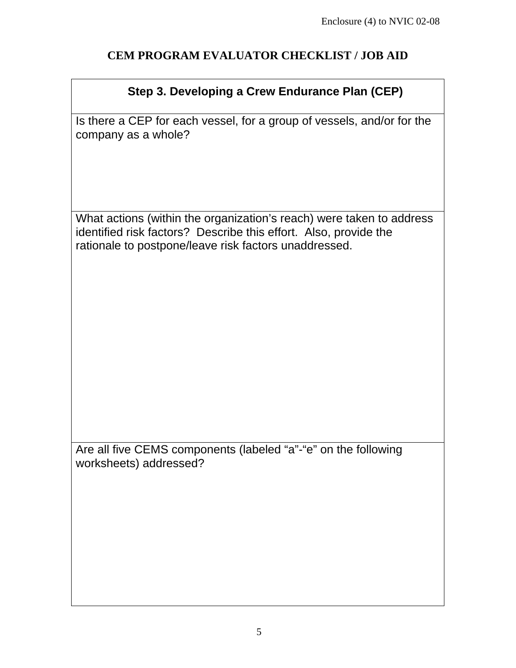# **Step 3. Developing a Crew Endurance Plan (CEP)**

Is there a CEP for each vessel, for a group of vessels, and/or for the company as a whole?

What actions (within the organization's reach) were taken to address identified risk factors? Describe this effort. Also, provide the rationale to postpone/leave risk factors unaddressed.

Are all five CEMS components (labeled "a"-"e" on the following worksheets) addressed?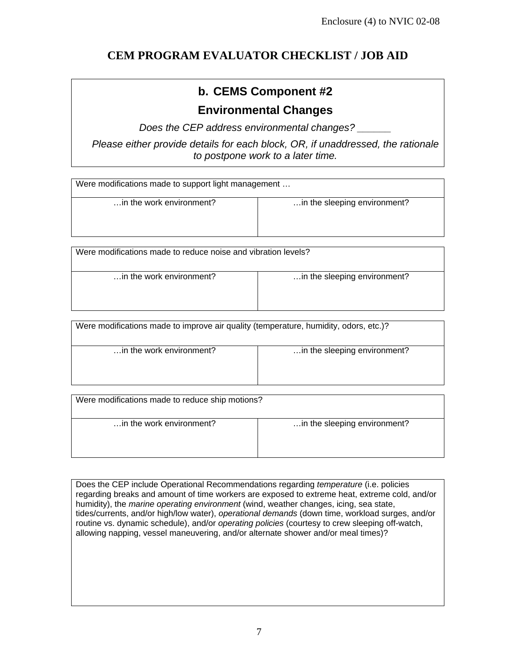# **b. CEMS Component #2**

## **Environmental Changes**

*Does the CEP address environmental changes? \_\_\_\_\_\_* 

*Please either provide details for each block, OR, if unaddressed, the rationale to postpone work to a later time.* 

| Were modifications made to support light management |                              |  |  |  |  |  |
|-----------------------------------------------------|------------------------------|--|--|--|--|--|
| in the work environment?                            | in the sleeping environment? |  |  |  |  |  |
| $  -$                                               |                              |  |  |  |  |  |

Were modifications made to reduce noise and vibration levels?

... in the work environment? **Example 1 and 1 ...** in the sleeping environment?

| Were modifications made to improve air quality (temperature, humidity, odors, etc.)? |                              |  |  |  |  |  |
|--------------------------------------------------------------------------------------|------------------------------|--|--|--|--|--|
| in the work environment?                                                             | in the sleeping environment? |  |  |  |  |  |

| Were modifications made to reduce ship motions? |                              |  |  |  |  |  |  |
|-------------------------------------------------|------------------------------|--|--|--|--|--|--|
| in the work environment?                        | in the sleeping environment? |  |  |  |  |  |  |

Does the CEP include Operational Recommendations regarding *temperature* (i.e. policies regarding breaks and amount of time workers are exposed to extreme heat, extreme cold, and/or humidity), the *marine operating environment* (wind, weather changes, icing, sea state, tides/currents, and/or high/low water), *operational demands* (down time, workload surges, and/or routine vs. dynamic schedule), and/or *operating policies* (courtesy to crew sleeping off-watch, allowing napping, vessel maneuvering, and/or alternate shower and/or meal times)?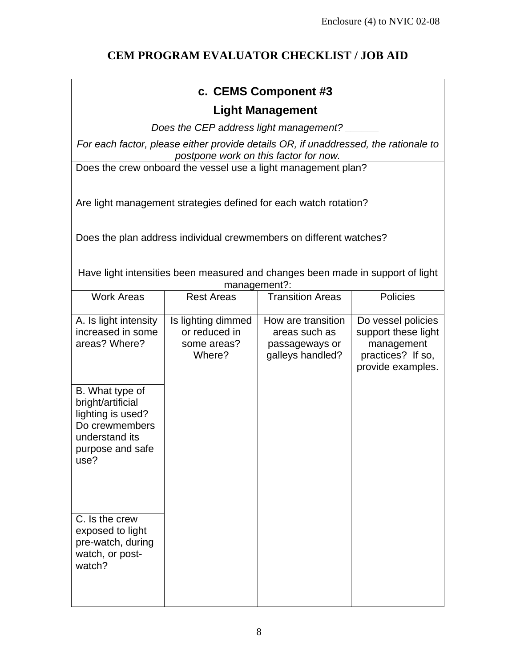# **c. CEMS Component #3**

### **Light Management**

*Does the CEP address light management? \_\_\_\_\_\_* 

*For each factor, please either provide details OR, if unaddressed, the rationale to postpone work on this factor for now.* 

Does the crew onboard the vessel use a light management plan?

Are light management strategies defined for each watch rotation?

Does the plan address individual crewmembers on different watches?

Have light intensities been measured and changes been made in support of light management?:

| <b>Work Areas</b>                                                                                                         | <b>Rest Areas</b>                                            | <b>Transition Areas</b>                                                   | <b>Policies</b>                                                                                   |
|---------------------------------------------------------------------------------------------------------------------------|--------------------------------------------------------------|---------------------------------------------------------------------------|---------------------------------------------------------------------------------------------------|
| A. Is light intensity<br>increased in some<br>areas? Where?                                                               | Is lighting dimmed<br>or reduced in<br>some areas?<br>Where? | How are transition<br>areas such as<br>passageways or<br>galleys handled? | Do vessel policies<br>support these light<br>management<br>practices? If so,<br>provide examples. |
| B. What type of<br>bright/artificial<br>lighting is used?<br>Do crewmembers<br>understand its<br>purpose and safe<br>use? |                                                              |                                                                           |                                                                                                   |
| C. Is the crew<br>exposed to light<br>pre-watch, during<br>watch, or post-<br>watch?                                      |                                                              |                                                                           |                                                                                                   |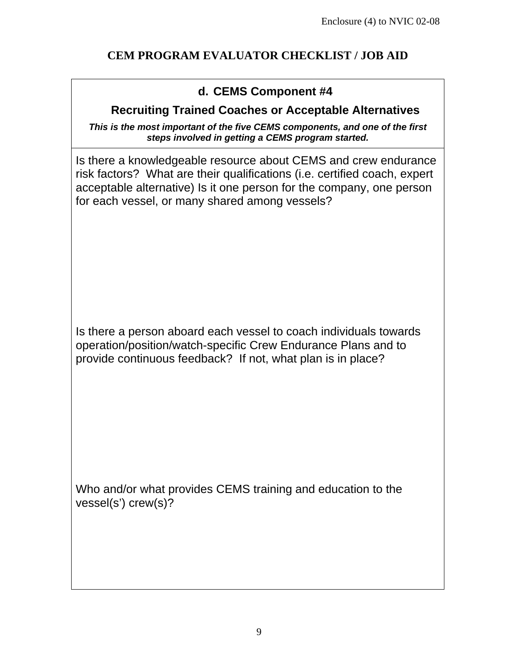## **d. CEMS Component #4**

### **Recruiting Trained Coaches or Acceptable Alternatives**

*This is the most important of the five CEMS components, and one of the first steps involved in getting a CEMS program started.*

Is there a knowledgeable resource about CEMS and crew endurance risk factors? What are their qualifications (i.e. certified coach, expert acceptable alternative) Is it one person for the company, one person for each vessel, or many shared among vessels?

Is there a person aboard each vessel to coach individuals towards operation/position/watch-specific Crew Endurance Plans and to provide continuous feedback? If not, what plan is in place?

Who and/or what provides CEMS training and education to the vessel(s') crew(s)?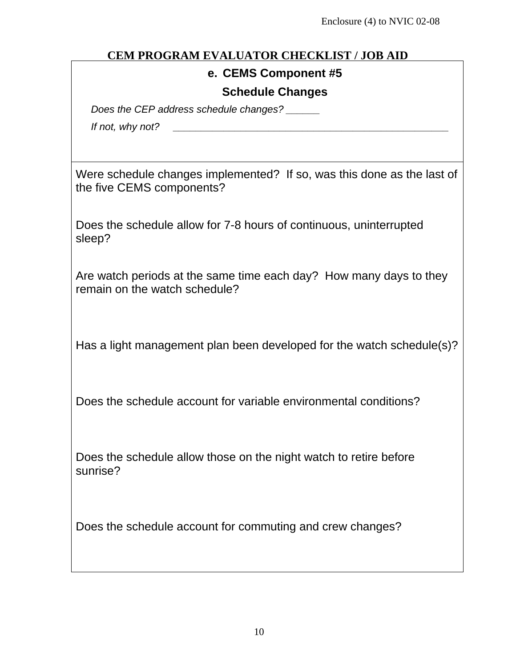### **e. CEMS Component #5**

### **Schedule Changes**

*Does the CEP address schedule changes? \_\_\_\_\_\_* 

*If not, why not? \_\_\_\_\_\_\_\_\_\_\_\_\_\_\_\_\_\_\_\_\_\_\_\_\_\_\_\_\_\_\_\_\_\_\_\_\_\_\_\_\_\_\_\_\_\_\_\_\_*

Were schedule changes implemented? If so, was this done as the last of the five CEMS components?

Does the schedule allow for 7-8 hours of continuous, uninterrupted sleep?

Are watch periods at the same time each day? How many days to they remain on the watch schedule?

Has a light management plan been developed for the watch schedule(s)?

Does the schedule account for variable environmental conditions?

Does the schedule allow those on the night watch to retire before sunrise?

Does the schedule account for commuting and crew changes?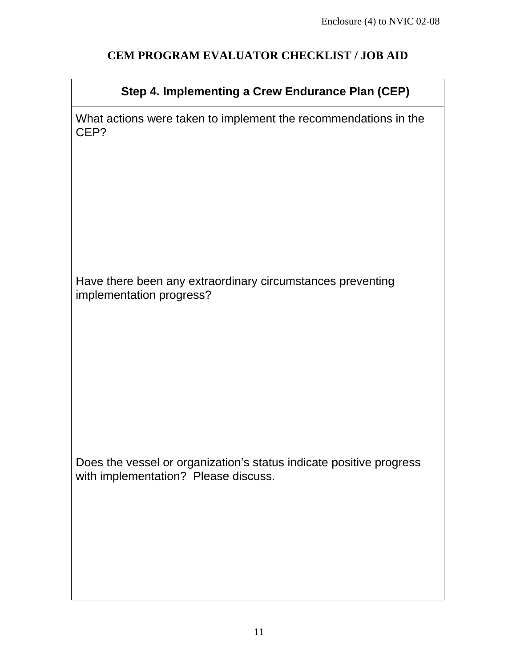# **Step 4. Implementing a Crew Endurance Plan (CEP)**

What actions were taken to implement the recommendations in the CEP?

Have there been any extraordinary circumstances preventing implementation progress?

Does the vessel or organization's status indicate positive progress with implementation? Please discuss.